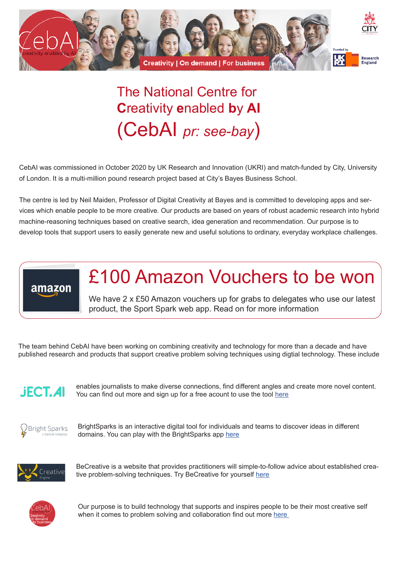

## The National Centre for **C**reativity **e**nabled **b**y **AI** (CebAI *pr: see-bay*)

CebAI was commissioned in October 2020 by UK Research and Innovation (UKRI) and match-funded by City, University of London. It is a multi-million pound research project based at City's Bayes Business School.

The centre is led by Neil Maiden, Professor of Digital Creativity at Bayes and is committed to developing apps and services which enable people to be more creative. Our products are based on years of robust academic research into hybrid machine-reasoning techniques based on creative search, idea generation and recommendation. Our purpose is to develop tools that support users to easily generate new and useful solutions to ordinary, everyday workplace challenges.



## £100 Amazon Vouchers to be won

We have 2 x £50 Amazon vouchers up for grabs to delegates who use our latest product, the Sport Spark web app. Read on for more information

The team behind CebAI have been working on combining creativity and technology for more than a decade and have published research and products that support creative problem solving techniques using digtial technology. These include



enables journalists to make diverse connections, find different angles and create more novel content. You can find out more and sign up for a free acount to use the tool [here](https://sportsparks.io/newpagebcf4a10b)



BrightSparks is an interactive digital tool for individuals and teams to discover ideas in different domains. You can play with the BrightSparks app [here](https://brightsparks.city.ac.uk/)



BeCreative is a website that provides practitioners will simple-to-follow advice about established creative problem-solving techniques. Try BeCreative for yourself [here](https://becreative.city.ac.uk/)



Our purpose is to build technology that supports and inspires people to be their most creative self when it comes to problem solving and collaboration find out more [here](https://www.bayes.city.ac.uk/business-services/consulting/centre-for-creativity-enabled-by-ai)